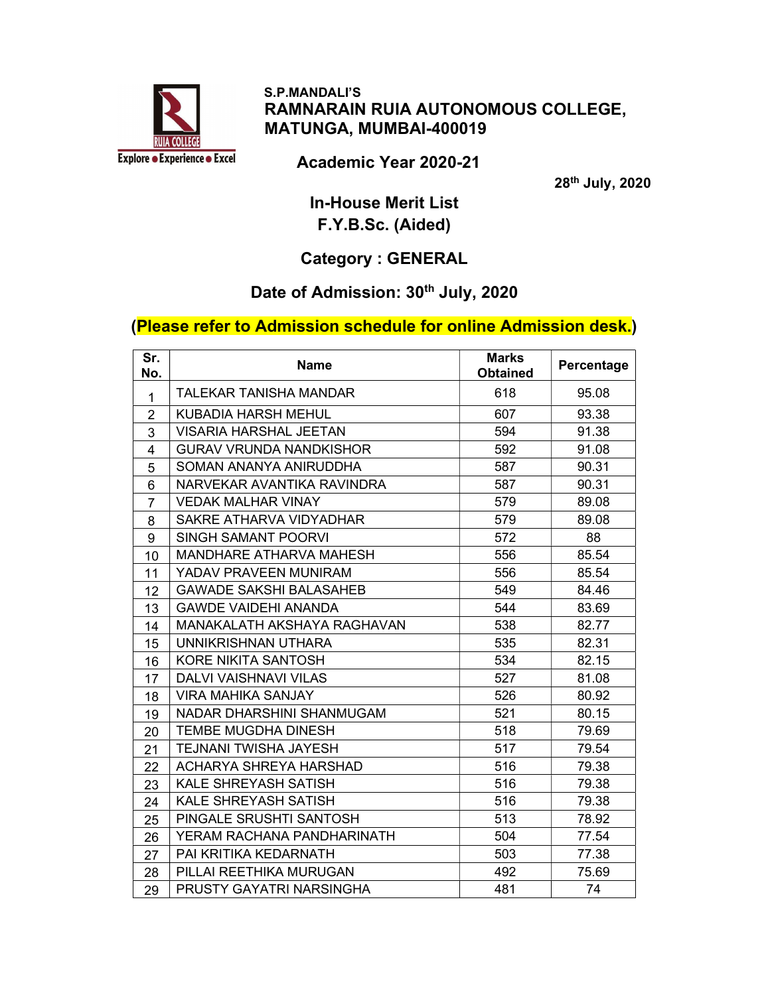

#### S.P.MANDALI'S RAMNARAIN RUIA AUTONOMOUS COLLEGE, MATUNGA, MUMBAI-400019

Academic Year 2020-21

28th July, 2020

In-House Merit List F.Y.B.Sc. (Aided)

## Category : GENERAL

## Date of Admission: 30<sup>th</sup> July, 2020

### (Please refer to Admission schedule for online Admission desk.)

| Sr.<br>No.     | <b>Name</b>                    | <b>Marks</b><br><b>Obtained</b> | Percentage |
|----------------|--------------------------------|---------------------------------|------------|
| $\mathbf{1}$   | <b>TALEKAR TANISHA MANDAR</b>  | 618                             | 95.08      |
| $\overline{2}$ | KUBADIA HARSH MEHUL            | 607                             | 93.38      |
| 3              | <b>VISARIA HARSHAL JEETAN</b>  | 594                             | 91.38      |
| $\overline{4}$ | <b>GURAV VRUNDA NANDKISHOR</b> | 592                             | 91.08      |
| 5              | SOMAN ANANYA ANIRUDDHA         | 587                             | 90.31      |
| 6              | NARVEKAR AVANTIKA RAVINDRA     | 587                             | 90.31      |
| $\overline{7}$ | <b>VEDAK MALHAR VINAY</b>      | 579                             | 89.08      |
| 8              | SAKRE ATHARVA VIDYADHAR        | 579                             | 89.08      |
| 9              | <b>SINGH SAMANT POORVI</b>     | 572                             | 88         |
| 10             | <b>MANDHARE ATHARVA MAHESH</b> | 556                             | 85.54      |
| 11             | YADAV PRAVEEN MUNIRAM          | 556                             | 85.54      |
| 12             | <b>GAWADE SAKSHI BALASAHEB</b> | 549                             | 84.46      |
| 13             | <b>GAWDE VAIDEHI ANANDA</b>    | 544                             | 83.69      |
| 14             | MANAKALATH AKSHAYA RAGHAVAN    | 538                             | 82.77      |
| 15             | UNNIKRISHNAN UTHARA            | 535                             | 82.31      |
| 16             | <b>KORE NIKITA SANTOSH</b>     | 534                             | 82.15      |
| 17             | <b>DALVI VAISHNAVI VILAS</b>   | 527                             | 81.08      |
| 18             | <b>VIRA MAHIKA SANJAY</b>      | 526                             | 80.92      |
| 19             | NADAR DHARSHINI SHANMUGAM      | 521                             | 80.15      |
| 20             | <b>TEMBE MUGDHA DINESH</b>     | 518                             | 79.69      |
| 21             | <b>TEJNANI TWISHA JAYESH</b>   | 517                             | 79.54      |
| 22             | ACHARYA SHREYA HARSHAD         | 516                             | 79.38      |
| 23             | KALE SHREYASH SATISH           | 516                             | 79.38      |
| 24             | KALE SHREYASH SATISH           | 516                             | 79.38      |
| 25             | PINGALE SRUSHTI SANTOSH        | 513                             | 78.92      |
| 26             | YERAM RACHANA PANDHARINATH     | 504                             | 77.54      |
| 27             | PAI KRITIKA KEDARNATH          | 503                             | 77.38      |
| 28             | PILLAI REETHIKA MURUGAN        | 492                             | 75.69      |
| 29             | PRUSTY GAYATRI NARSINGHA       | 481                             | 74         |